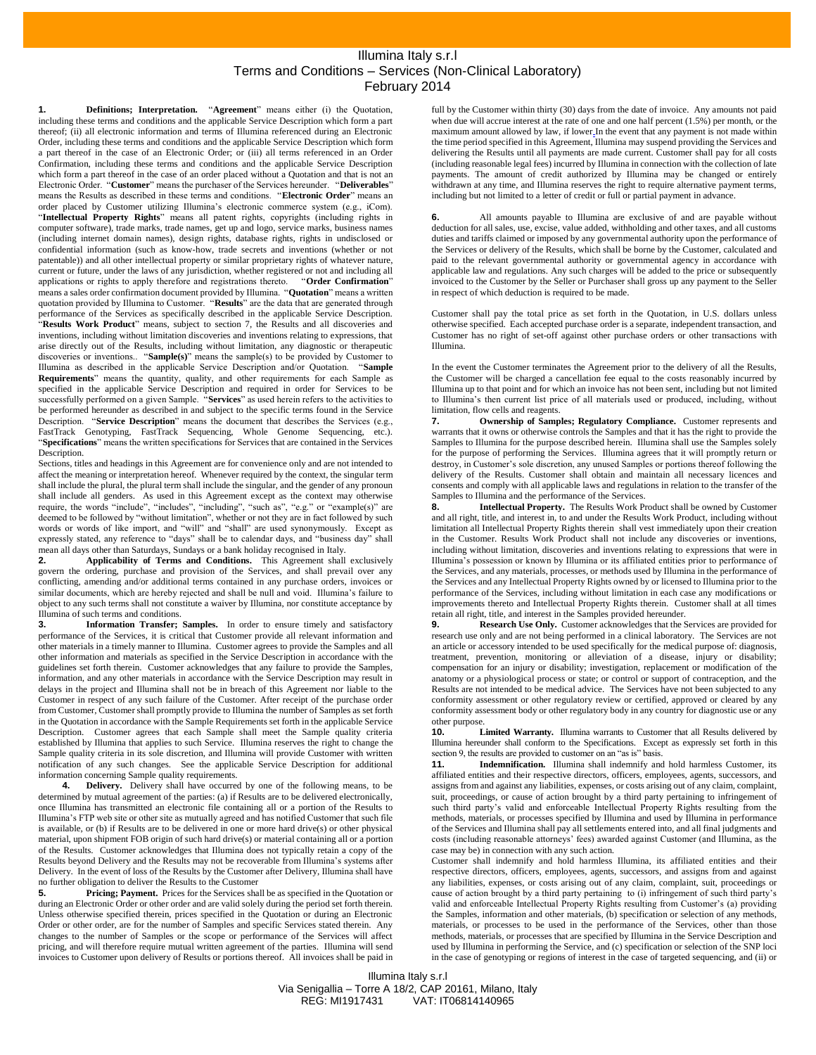## Illumina Italy s.r.l Terms and Conditions – Services (Non-Clinical Laboratory) February 2014

**1. Definitions; Interpretation.** "**Agreement**" means either (i) the Quotation, including these terms and conditions and the applicable Service Description which form a part thereof; (ii) all electronic information and terms of Illumina referenced during an Electronic Order, including these terms and conditions and the applicable Service Description which form a part thereof in the case of an Electronic Order; or (iii) all terms referenced in an Order Confirmation, including these terms and conditions and the applicable Service Description which form a part thereof in the case of an order placed without a Quotation and that is not an Electronic Order. "**Customer**" means the purchaser of the Services hereunder. "**Deliverables**" means the Results as described in these terms and conditions. "**Electronic Order**" means an order placed by Customer utilizing Illumina's electronic commerce system (e.g., iCom). "**Intellectual Property Rights**" means all patent rights, copyrights (including rights in computer software), trade marks, trade names, get up and logo, service marks, business names (including internet domain names), design rights, database rights, rights in undisclosed or confidential information (such as know-how, trade secrets and inventions (whether or not patentable)) and all other intellectual property or similar proprietary rights of whatever nature, current or future, under the laws of any jurisdiction, whether registered or not and including all applications or rights to apply therefore and registrations thereto. "Order Confirmation" applications or rights to apply therefore and registrations thereto. means a sales order confirmation document provided by Illumina. "**Quotation**" means a written quotation provided by Illumina to Customer. "**Results**" are the data that are generated through performance of the Services as specifically described in the applicable Service Description. "**Results Work Product**" means, subject to section 7, the Results and all discoveries and inventions, including without limitation discoveries and inventions relating to expressions, that arise directly out of the Results, including without limitation, any diagnostic or therapeutic discoveries or inventions.. "**Sample(s)**" means the sample(s) to be provided by Customer to Illumina as described in the applicable Service Description and/or Quotation. "**Sample Requirements**" means the quantity, quality, and other requirements for each Sample as specified in the applicable Service Description and required in order for Services to be successfully performed on a given Sample. "**Services**" as used herein refers to the activities to be performed hereunder as described in and subject to the specific terms found in the Service Description. "**Service Description**" means the document that describes the Services (e.g., FastTrack Genotyping, FastTrack Sequencing, Whole Genome Sequencing, etc.). "**Specifications**" means the written specifications for Services that are contained in the Services Description.

Sections, titles and headings in this Agreement are for convenience only and are not intended to affect the meaning or interpretation hereof. Whenever required by the context, the singular term shall include the plural, the plural term shall include the singular, and the gender of any pronoun shall include all genders. As used in this Agreement except as the context may otherwise require, the words "include", "includes", "including", "such as", "e.g." or "example(s)" are deemed to be followed by "without limitation", whether or not they are in fact followed by such words or words of like import, and "will" and "shall" are used synonymously. Except as expressly stated, any reference to "days" shall be to calendar days, and "business day" shall mean all days other than Saturdays, Sundays or a bank holiday recognised in Italy.<br> **2.** Applicability of Terms and Conditions. This Agreement shall

**2. Applicability of Terms and Conditions.** This Agreement shall exclusively govern the ordering, purchase and provision of the Services, and shall prevail over any conflicting, amending and/or additional terms contained in any purchase orders, invoices or similar documents, which are hereby rejected and shall be null and void. Illumina's failure to object to any such terms shall not constitute a waiver by Illumina, nor constitute acceptance by Illumina of such terms and conditions.

**3. Information Transfer; Samples.** In order to ensure timely and satisfactory performance of the Services, it is critical that Customer provide all relevant information and other materials in a timely manner to Illumina. Customer agrees to provide the Samples and all other information and materials as specified in the Service Description in accordance with the guidelines set forth therein. Customer acknowledges that any failure to provide the Samples, information, and any other materials in accordance with the Service Description may result in delays in the project and Illumina shall not be in breach of this Agreement nor liable to the Customer in respect of any such failure of the Customer. After receipt of the purchase order from Customer, Customer shall promptly provide to Illumina the number of Samples as set forth in the Quotation in accordance with the Sample Requirements set forth in the applicable Service Description. Customer agrees that each Sample shall meet the Sample quality criteria established by Illumina that applies to such Service. Illumina reserves the right to change the Sample quality criteria in its sole discretion, and Illumina will provide Customer with written notification of any such changes. See the applicable Service Description for additional information concerning Sample quality requirements.

**4. Delivery.** Delivery shall have occurred by one of the following means, to be determined by mutual agreement of the parties: (a) if Results are to be delivered electronically, once Illumina has transmitted an electronic file containing all or a portion of the Results to Illumina's FTP web site or other site as mutually agreed and has notified Customer that such file is available, or (b) if Results are to be delivered in one or more hard drive(s) or other physical material, upon shipment FOB origin of such hard drive(s) or material containing all or a portion of the Results. Customer acknowledges that Illumina does not typically retain a copy of the Results beyond Delivery and the Results may not be recoverable from Illumina's systems after Delivery. In the event of loss of the Results by the Customer after Delivery, Illumina shall have no further obligation to deliver the Results to the Customer<br>5. Pricing: Payment. Prices for the Services shape

**5. Pricing; Payment.** Prices for the Services shall be as specified in the Quotation or during an Electronic Order or other order and are valid solely during the period set forth therein. Unless otherwise specified therein, prices specified in the Quotation or during an Electronic Order or other order, are for the number of Samples and specific Services stated therein. Any changes to the number of Samples or the scope or performance of the Services will affect pricing, and will therefore require mutual written agreement of the parties. Illumina will send invoices to Customer upon delivery of Results or portions thereof. All invoices shall be paid in

full by the Customer within thirty (30) days from the date of invoice. Any amounts not paid when due will accrue interest at the rate of one and one half percent (1.5%) per month, or the maximum amount allowed by law, if lower In the event that any payment is not made within the time period specified in this Agreement, Illumina may suspend providing the Services and delivering the Results until all payments are made current. Customer shall pay for all costs (including reasonable legal fees) incurred by Illumina in connection with the collection of late payments. The amount of credit authorized by Illumina may be changed or entirely withdrawn at any time, and Illumina reserves the right to require alternative payment terms, including but not limited to a letter of credit or full or partial payment in advance.

**6.** All amounts payable to Illumina are exclusive of and are payable without deduction for all sales, use, excise, value added, withholding and other taxes, and all customs duties and tariffs claimed or imposed by any governmental authority upon the performance of the Services or delivery of the Results, which shall be borne by the Customer, calculated and paid to the relevant governmental authority or governmental agency in accordance with applicable law and regulations. Any such charges will be added to the price or subsequently invoiced to the Customer by the Seller or Purchaser shall gross up any payment to the Seller in respect of which deduction is required to be made.

Customer shall pay the total price as set forth in the Quotation, in U.S. dollars unless otherwise specified. Each accepted purchase order is a separate, independent transaction, and Customer has no right of set-off against other purchase orders or other transactions with Illumina.

In the event the Customer terminates the Agreement prior to the delivery of all the Results, the Customer will be charged a cancellation fee equal to the costs reasonably incurred by Illumina up to that point and for which an invoice has not been sent, including but not limited to Illumina's then current list price of all materials used or produced, including, without limitation, flow cells and reagents.

**7. Ownership of Samples; Regulatory Compliance.** Customer represents and warrants that it owns or otherwise controls the Samples and that it has the right to provide the Samples to Illumina for the purpose described herein. Illumina shall use the Samples solely for the purpose of performing the Services. Illumina agrees that it will promptly return or destroy, in Customer's sole discretion, any unused Samples or portions thereof following the delivery of the Results. Customer shall obtain and maintain all necessary licences and consents and comply with all applicable laws and regulations in relation to the transfer of the Samples to Illumina and the performance of the Services.

**8. Intellectual Property.** The Results Work Product shall be owned by Customer and all right, title, and interest in, to and under the Results Work Product, including without limitation all Intellectual Property Rights therein shall vest immediately upon their creation in the Customer. Results Work Product shall not include any discoveries or inventions, including without limitation, discoveries and inventions relating to expressions that were in Illumina's possession or known by Illumina or its affiliated entities prior to performance of the Services, and any materials, processes, or methods used by Illumina in the performance of the Services and any Intellectual Property Rights owned by or licensed to Illumina prior to the performance of the Services, including without limitation in each case any modifications or improvements thereto and Intellectual Property Rights therein. Customer shall at all times retain all right, title, and interest in the Samples provided hereunder.

**9. Research Use Only.** Customer acknowledges that the Services are provided for research use only and are not being performed in a clinical laboratory. The Services are not an article or accessory intended to be used specifically for the medical purpose of: diagnosis, treatment, prevention, monitoring or alleviation of a disease, injury or disability; compensation for an injury or disability; investigation, replacement or modification of the anatomy or a physiological process or state; or control or support of contraception, and the Results are not intended to be medical advice. The Services have not been subjected to any conformity assessment or other regulatory review or certified, approved or cleared by any conformity assessment body or other regulatory body in any country for diagnostic use or any other purpose.<br>10. I

Limited Warranty. Illumina warrants to Customer that all Results delivered by Illumina hereunder shall conform to the Specifications. Except as expressly set forth in this section 9, the results are provided to customer on an "as is" basis.<br>11 **Indemnification** Illumina shall indemnify and

**11. Indemnification.** Illumina shall indemnify and hold harmless Customer, its affiliated entities and their respective directors, officers, employees, agents, successors, and assigns from and against any liabilities, expenses, or costs arising out of any claim, complaint, suit, proceedings, or cause of action brought by a third party pertaining to infringement of such third party's valid and enforceable Intellectual Property Rights resulting from the methods, materials, or processes specified by Illumina and used by Illumina in performance of the Services and Illumina shall pay all settlements entered into, and all final judgments and costs (including reasonable attorneys' fees) awarded against Customer (and Illumina, as the case may be) in connection with any such action.

Customer shall indemnify and hold harmless Illumina, its affiliated entities and their respective directors, officers, employees, agents, successors, and assigns from and against any liabilities, expenses, or costs arising out of any claim, complaint, suit, proceedings or cause of action brought by a third party pertaining to (i) infringement of such third party's valid and enforceable Intellectual Property Rights resulting from Customer's (a) providing the Samples, information and other materials, (b) specification or selection of any methods, materials, or processes to be used in the performance of the Services, other than those methods, materials, or processes that are specified by Illumina in the Service Description and used by Illumina in performing the Service, and (c) specification or selection of the SNP loci in the case of genotyping or regions of interest in the case of targeted sequencing, and (ii) or

Illumina Italy s.r.l Via Senigallia – Torre A 18/2, CAP 20161, Milano, Italy VAT: IT06814140965